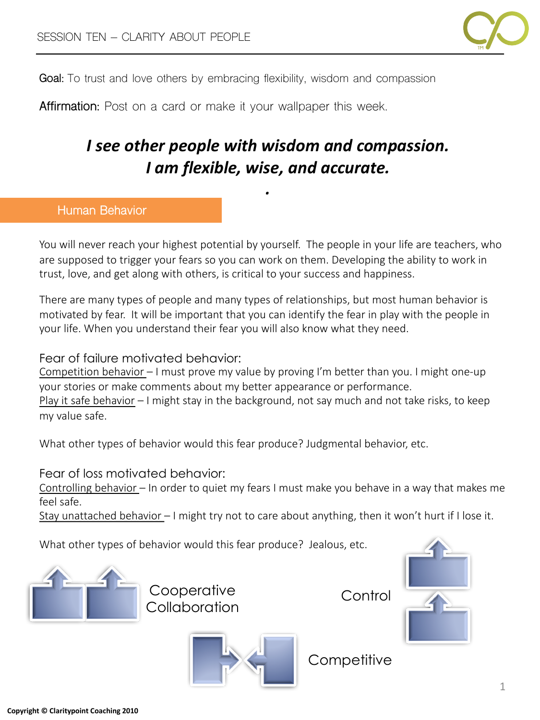

**Goal:** To trust and love others by embracing flexibility, wisdom and compassion

**Affirmation:** Post on a card or make it your wallpaper this week.

# *I see other people with wisdom and compassion. I am flexible, wise, and accurate.*

*.*

# **Human Behavior**

You will never reach your highest potential by yourself. The people in your life are teachers, who are supposed to trigger your fears so you can work on them. Developing the ability to work in trust, love, and get along with others, is critical to your success and happiness.

There are many types of people and many types of relationships, but most human behavior is motivated by fear. It will be important that you can identify the fear in play with the people in your life. When you understand their fear you will also know what they need.

# Fear of failure motivated behavior:

Competition behavior – I must prove my value by proving I'm better than you. I might one-up your stories or make comments about my better appearance or performance. Play it safe behavior  $-1$  might stay in the background, not say much and not take risks, to keep my value safe.

What other types of behavior would this fear produce? Judgmental behavior, etc.

Fear of loss motivated behavior:

Controlling behavior – In order to quiet my fears I must make you behave in a way that makes me feel safe.

Stay unattached behavior  $-1$  might try not to care about anything, then it won't hurt if I lose it.

What other types of behavior would this fear produce? Jealous, etc.



**Cooperative Collaboration** 

Control





**Competitive**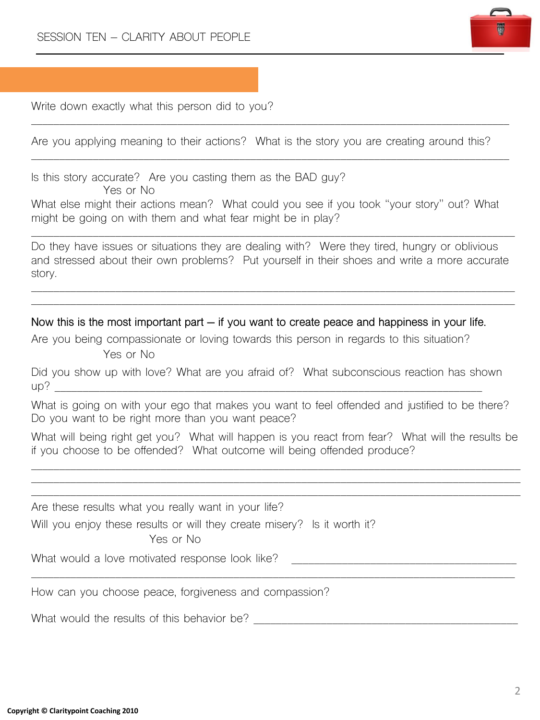

Write down exactly what this person did to you?

Are you applying meaning to their actions? What is the story you are creating around this?

\_\_\_\_\_\_\_\_\_\_\_\_\_\_\_\_\_\_\_\_\_\_\_\_\_\_\_\_\_\_\_\_\_\_\_\_\_\_\_\_\_\_\_\_\_\_\_\_\_\_\_\_\_\_\_\_\_\_\_\_\_\_\_\_\_\_\_\_\_\_\_\_\_\_\_\_\_\_\_\_\_\_\_\_\_

\_\_\_\_\_\_\_\_\_\_\_\_\_\_\_\_\_\_\_\_\_\_\_\_\_\_\_\_\_\_\_\_\_\_\_\_\_\_\_\_\_\_\_\_\_\_\_\_\_\_\_\_\_\_\_\_\_\_\_\_\_\_\_\_\_\_\_\_\_\_\_\_\_\_\_\_\_\_\_\_\_\_\_\_\_

Is this story accurate? Are you casting them as the BAD guy?

Yes or No

What else might their actions mean? What could you see if you took "your story" out? What might be going on with them and what fear might be in play?

Do they have issues or situations they are dealing with? Were they tired, hungry or oblivious and stressed about their own problems? Put yourself in their shoes and write a more accurate story.

\_\_\_\_\_\_\_\_\_\_\_\_\_\_\_\_\_\_\_\_\_\_\_\_\_\_\_\_\_\_\_\_\_\_\_\_\_\_\_\_\_\_\_\_\_\_\_\_\_\_\_\_\_\_\_\_\_\_\_\_\_\_\_\_\_\_\_\_\_\_\_\_\_\_\_\_\_\_\_\_\_\_\_\_\_\_ \_\_\_\_\_\_\_\_\_\_\_\_\_\_\_\_\_\_\_\_\_\_\_\_\_\_\_\_\_\_\_\_\_\_\_\_\_\_\_\_\_\_\_\_\_\_\_\_\_\_\_\_\_\_\_\_\_\_\_\_\_\_\_\_\_\_\_\_\_\_\_\_\_\_\_\_\_\_\_\_\_\_\_\_\_\_

\_\_\_\_\_\_\_\_\_\_\_\_\_\_\_\_\_\_\_\_\_\_\_\_\_\_\_\_\_\_\_\_\_\_\_\_\_\_\_\_\_\_\_\_\_\_\_\_\_\_\_\_\_\_\_\_\_\_\_\_\_\_\_\_\_\_\_\_\_\_\_\_\_\_\_\_\_\_\_\_\_\_\_\_\_\_

**Now this is the most important part – if you want to create peace and happiness in your life.**

Are you being compassionate or loving towards this person in regards to this situation? Yes or No

Did you show up with love? What are you afraid of? What subconscious reaction has shown  $up?$ 

What is going on with your ego that makes you want to feel offended and justified to be there? Do you want to be right more than you want peace?

What will being right get you? What will happen is you react from fear? What will the results be if you choose to be offended? What outcome will being offended produce?

\_\_\_\_\_\_\_\_\_\_\_\_\_\_\_\_\_\_\_\_\_\_\_\_\_\_\_\_\_\_\_\_\_\_\_\_\_\_\_\_\_\_\_\_\_\_\_\_\_\_\_\_\_\_\_\_\_\_\_\_\_\_\_\_\_\_\_\_\_\_\_\_\_\_\_\_\_\_\_\_\_\_\_\_\_\_\_ \_\_\_\_\_\_\_\_\_\_\_\_\_\_\_\_\_\_\_\_\_\_\_\_\_\_\_\_\_\_\_\_\_\_\_\_\_\_\_\_\_\_\_\_\_\_\_\_\_\_\_\_\_\_\_\_\_\_\_\_\_\_\_\_\_\_\_\_\_\_\_\_\_\_\_\_\_\_\_\_\_\_\_\_\_\_\_ \_\_\_\_\_\_\_\_\_\_\_\_\_\_\_\_\_\_\_\_\_\_\_\_\_\_\_\_\_\_\_\_\_\_\_\_\_\_\_\_\_\_\_\_\_\_\_\_\_\_\_\_\_\_\_\_\_\_\_\_\_\_\_\_\_\_\_\_\_\_\_\_\_\_\_\_\_\_\_\_\_\_\_\_\_\_\_

\_\_\_\_\_\_\_\_\_\_\_\_\_\_\_\_\_\_\_\_\_\_\_\_\_\_\_\_\_\_\_\_\_\_\_\_\_\_\_\_\_\_\_\_\_\_\_\_\_\_\_\_\_\_\_\_\_\_\_\_\_\_\_\_\_\_\_\_\_\_\_\_\_\_\_\_\_\_\_\_\_\_\_\_\_\_

Are these results what you really want in your life?

Will you enjoy these results or will they create misery? Is it worth it?

Yes or No

What would a love motivated response look like? \_\_\_\_\_\_\_\_\_\_\_\_\_\_\_\_\_\_\_\_\_\_\_\_\_\_\_\_\_\_\_\_

How can you choose peace, forgiveness and compassion?

What would the results of this behavior be?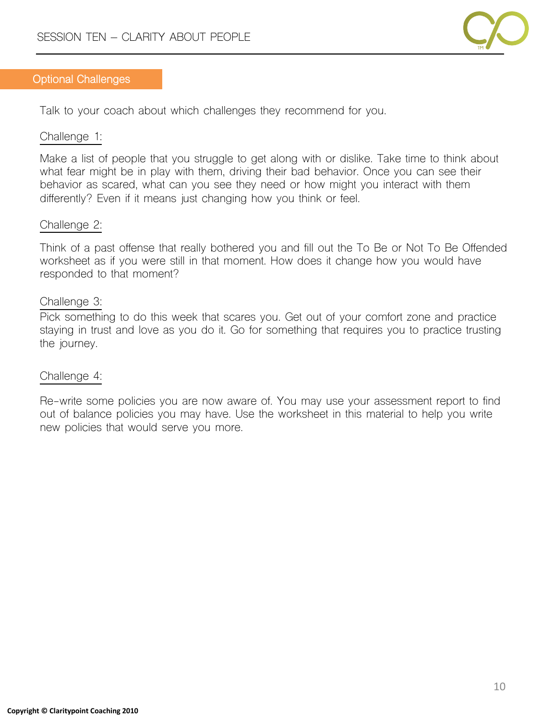

#### **Optional Challenges**

Talk to your coach about which challenges they recommend for you.

#### Challenge 1:

Make a list of people that you struggle to get along with or dislike. Take time to think about what fear might be in play with them, driving their bad behavior. Once you can see their behavior as scared, what can you see they need or how might you interact with them differently? Even if it means just changing how you think or feel.

### Challenge 2:

Think of a past offense that really bothered you and fill out the To Be or Not To Be Offended worksheet as if you were still in that moment. How does it change how you would have responded to that moment?

### Challenge 3:

Pick something to do this week that scares you. Get out of your comfort zone and practice staying in trust and love as you do it. Go for something that requires you to practice trusting the journey.

### Challenge 4:

Re-write some policies you are now aware of. You may use your assessment report to find out of balance policies you may have. Use the worksheet in this material to help you write new policies that would serve you more.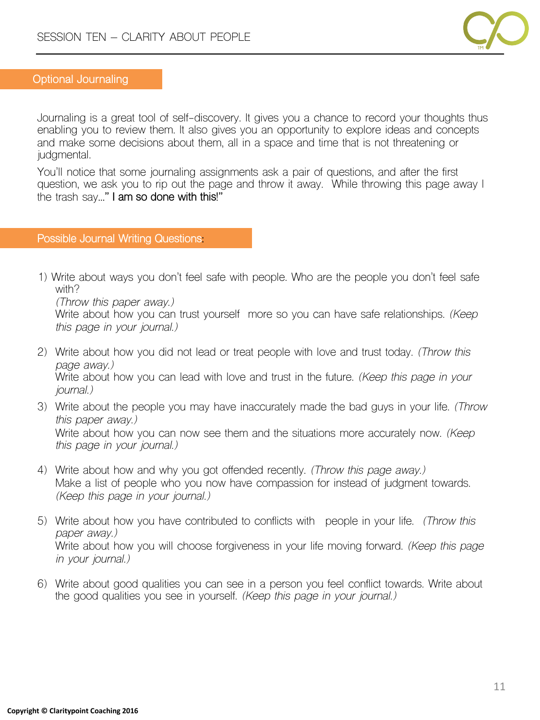

#### **Optional Journaling**

Journaling is a great tool of self-discovery. It gives you a chance to record your thoughts thus enabling you to review them. It also gives you an opportunity to explore ideas and concepts and make some decisions about them, all in a space and time that is not threatening or judgmental.

You'll notice that some journaling assignments ask a pair of questions, and after the first question, we ask you to rip out the page and throw it away. While throwing this page away I the trash say**…" I am so done with this!"**

#### **Possible Journal Writing Questions:**

1) Write about ways you don't feel safe with people. Who are the people you don't feel safe with?

*(Throw this paper away.)* 

Write about how you can trust yourself more so you can have safe relationships. *(Keep this page in your journal.)*

- 2) Write about how you did not lead or treat people with love and trust today. *(Throw this page away.)*  Write about how you can lead with love and trust in the future. *(Keep this page in your journal.)*
- 3) Write about the people you may have inaccurately made the bad guys in your life. *(Throw this paper away.)*  Write about how you can now see them and the situations more accurately now. *(Keep this page in your journal.)*
- 4) Write about how and why you got offended recently. *(Throw this page away.)*  Make a list of people who you now have compassion for instead of judgment towards. *(Keep this page in your journal.)*
- 5) Write about how you have contributed to conflicts with people in your life. *(Throw this paper away.)* Write about how you will choose forgiveness in your life moving forward. *(Keep this page in your journal.)*
- 6) Write about good qualities you can see in a person you feel conflict towards. Write about the good qualities you see in yourself. *(Keep this page in your journal.)*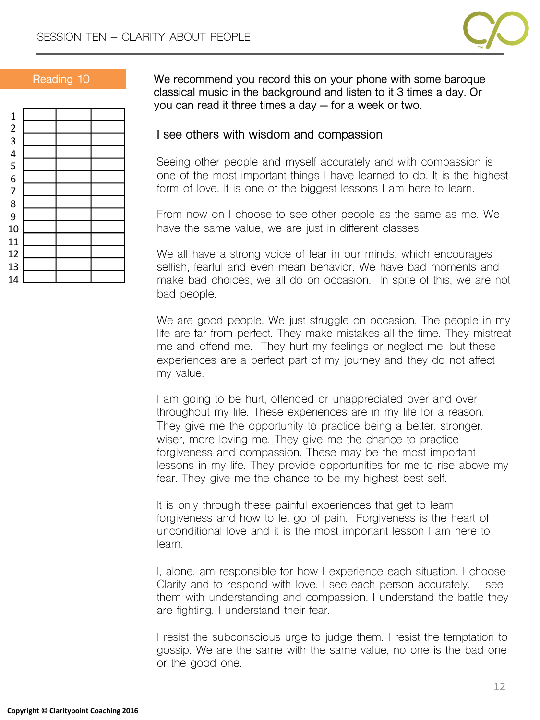



**Reading 10 We recommend you record this on your phone with some baroque classical music in the background and listen to it 3 times a day. Or you can read it three times a day – for a week or two.**

# **I see others with wisdom and compassion**

Seeing other people and myself accurately and with compassion is one of the most important things I have learned to do. It is the highest form of love. It is one of the biggest lessons I am here to learn.

From now on I choose to see other people as the same as me. We have the same value, we are just in different classes.

We all have a strong voice of fear in our minds, which encourages selfish, fearful and even mean behavior. We have bad moments and make bad choices, we all do on occasion. In spite of this, we are not bad people.

We are good people. We just struggle on occasion. The people in my life are far from perfect. They make mistakes all the time. They mistreat me and offend me. They hurt my feelings or neglect me, but these experiences are a perfect part of my journey and they do not affect my value.

I am going to be hurt, offended or unappreciated over and over throughout my life. These experiences are in my life for a reason. They give me the opportunity to practice being a better, stronger, wiser, more loving me. They give me the chance to practice forgiveness and compassion. These may be the most important lessons in my life. They provide opportunities for me to rise above my fear. They give me the chance to be my highest best self.

It is only through these painful experiences that get to learn forgiveness and how to let go of pain. Forgiveness is the heart of unconditional love and it is the most important lesson I am here to learn.

I, alone, am responsible for how I experience each situation. I choose Clarity and to respond with love. I see each person accurately. I see them with understanding and compassion. I understand the battle they are fighting. I understand their fear.

I resist the subconscious urge to judge them. I resist the temptation to gossip. We are the same with the same value, no one is the bad one or the good one.